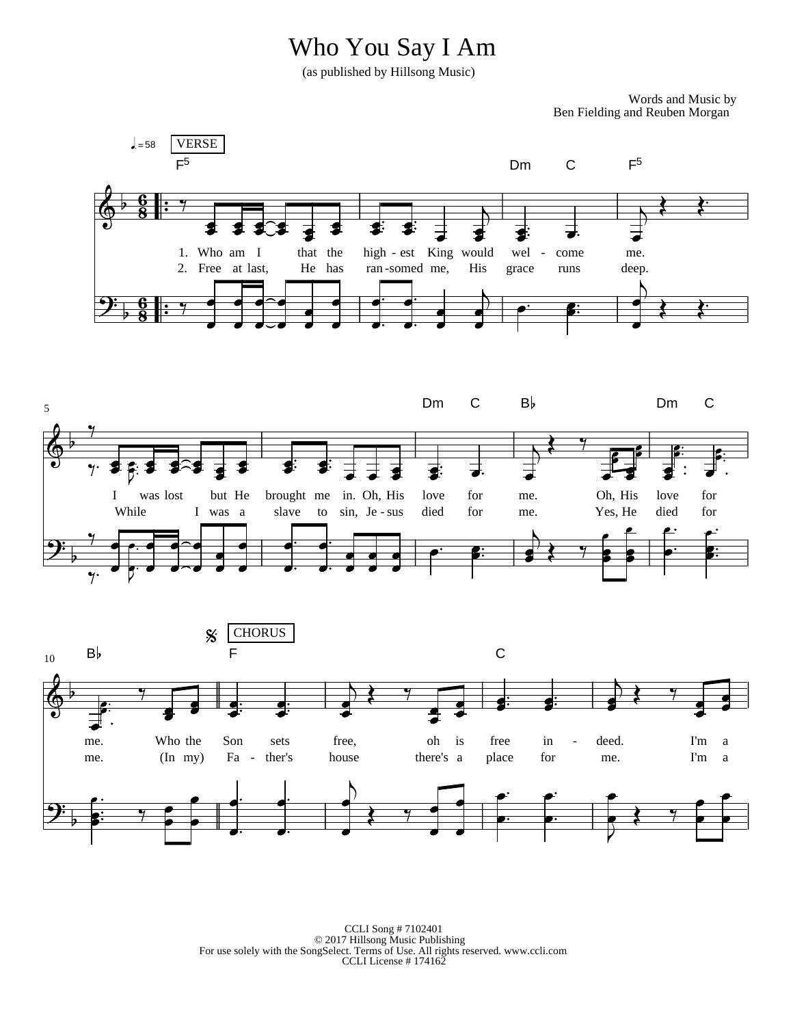## Who You Say I Am

(as published by Hillsong Music)

Words and Music by Ben Fielding and Reuben Morgan



5

CCLI Song # 7102401 © 2017 Hillsong Music Publishing For use solely with the SongSelect. Terms of Use. All rights reserved. www.ccli.com CCLI License # 174162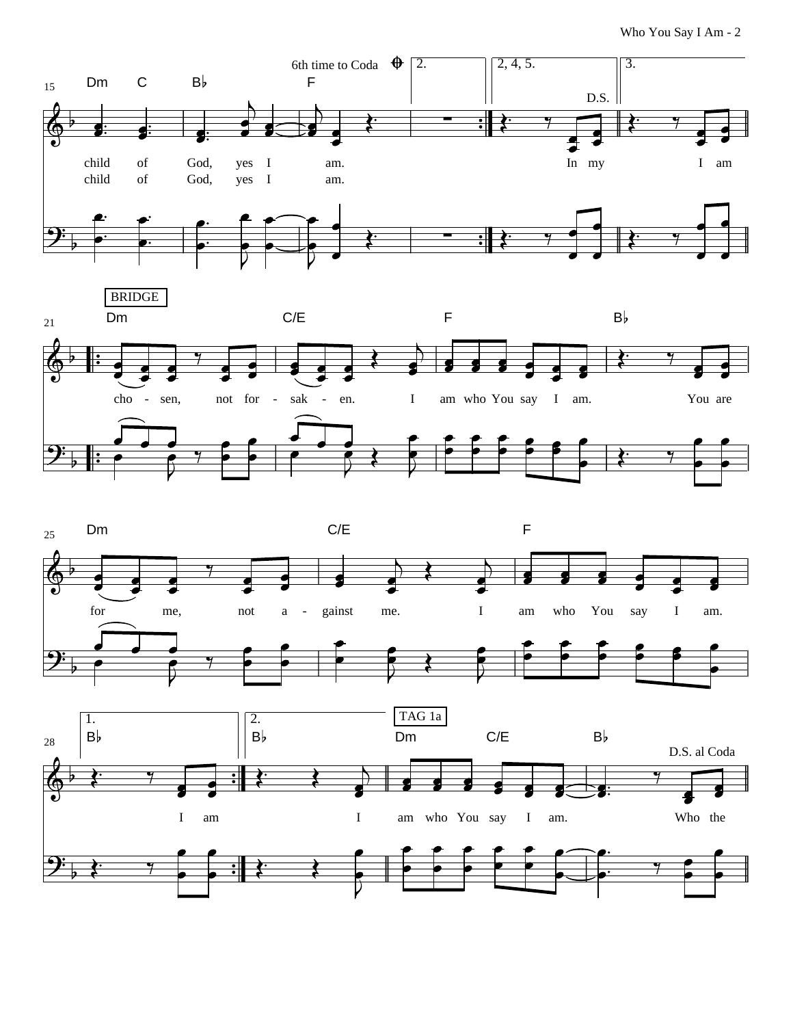Who You Say I Am - 2





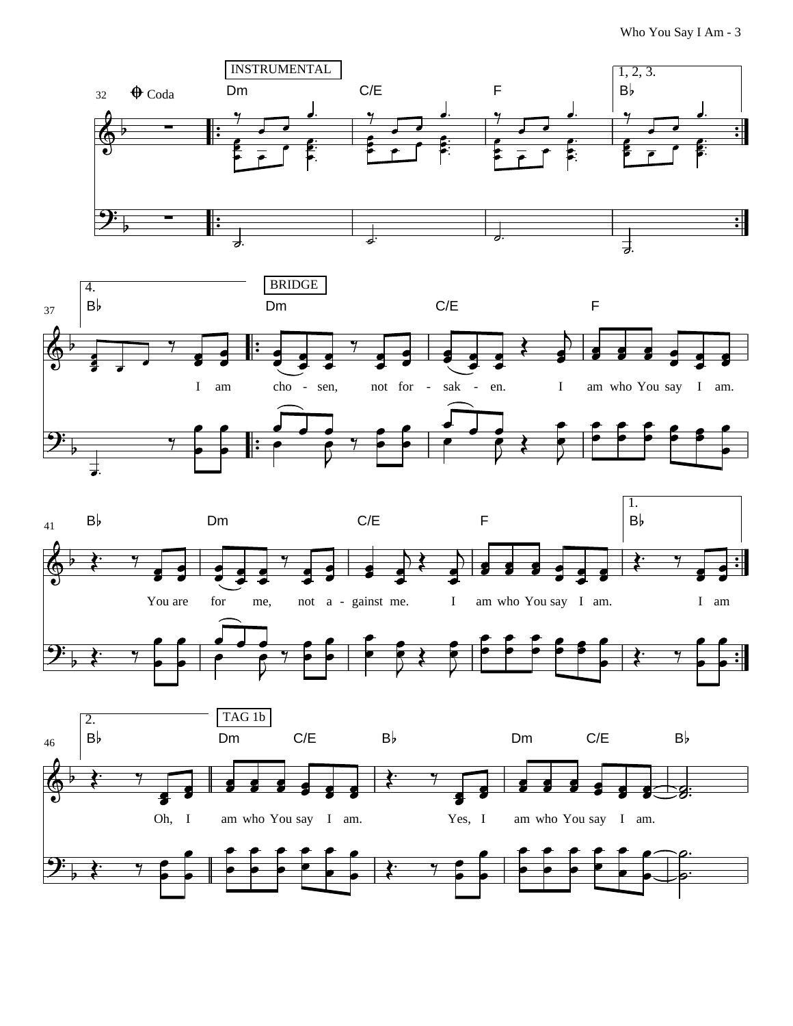Who You Say I Am - 3